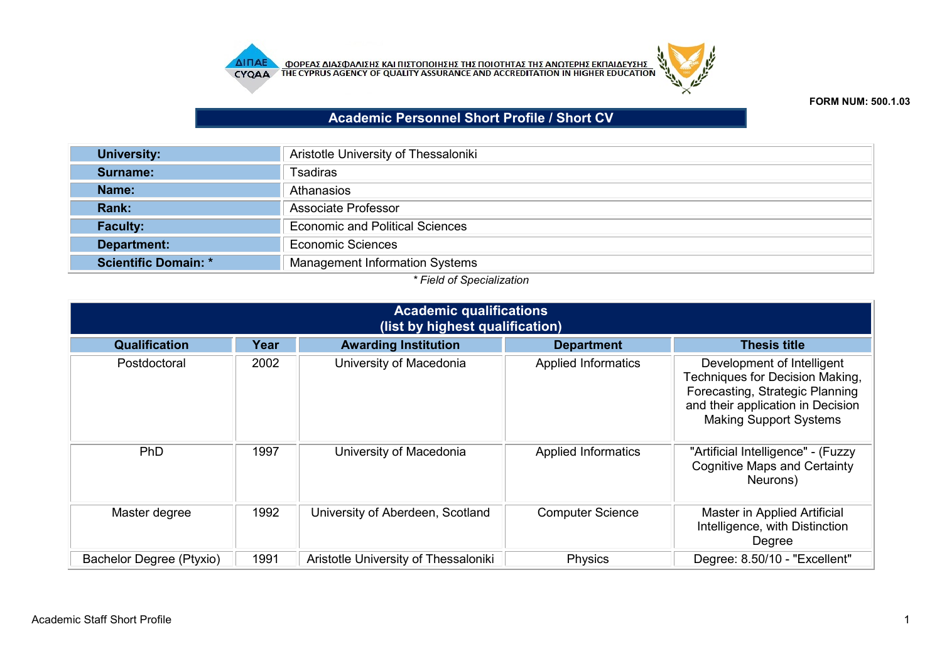



## **FORM NUM: 500.1.03**

## **Academic Personnel Short Profile / Short CV**

| <b>University:</b>          | Aristotle University of Thessaloniki   |
|-----------------------------|----------------------------------------|
| Surname:                    | <b>Tsadiras</b>                        |
| Name:                       | Athanasios                             |
| Rank:                       | Associate Professor                    |
| <b>Faculty:</b>             | <b>Economic and Political Sciences</b> |
| Department:                 | Economic Sciences                      |
| <b>Scientific Domain: *</b> | <b>Management Information Systems</b>  |

## *\* Field of Specialization*

| <b>Academic qualifications</b><br>(list by highest qualification) |      |                                      |                            |                                                                                                                                                                        |  |
|-------------------------------------------------------------------|------|--------------------------------------|----------------------------|------------------------------------------------------------------------------------------------------------------------------------------------------------------------|--|
| Qualification                                                     | Year | <b>Awarding Institution</b>          | <b>Department</b>          | <b>Thesis title</b>                                                                                                                                                    |  |
| Postdoctoral                                                      | 2002 | University of Macedonia              | <b>Applied Informatics</b> | Development of Intelligent<br>Techniques for Decision Making,<br>Forecasting, Strategic Planning<br>and their application in Decision<br><b>Making Support Systems</b> |  |
| PhD                                                               | 1997 | University of Macedonia              | <b>Applied Informatics</b> | "Artificial Intelligence" - (Fuzzy<br><b>Cognitive Maps and Certainty</b><br>Neurons)                                                                                  |  |
| Master degree                                                     | 1992 | University of Aberdeen, Scotland     | <b>Computer Science</b>    | Master in Applied Artificial<br>Intelligence, with Distinction<br>Degree                                                                                               |  |
| Bachelor Degree (Ptyxio)                                          | 1991 | Aristotle University of Thessaloniki | Physics                    | Degree: 8.50/10 - "Excellent"                                                                                                                                          |  |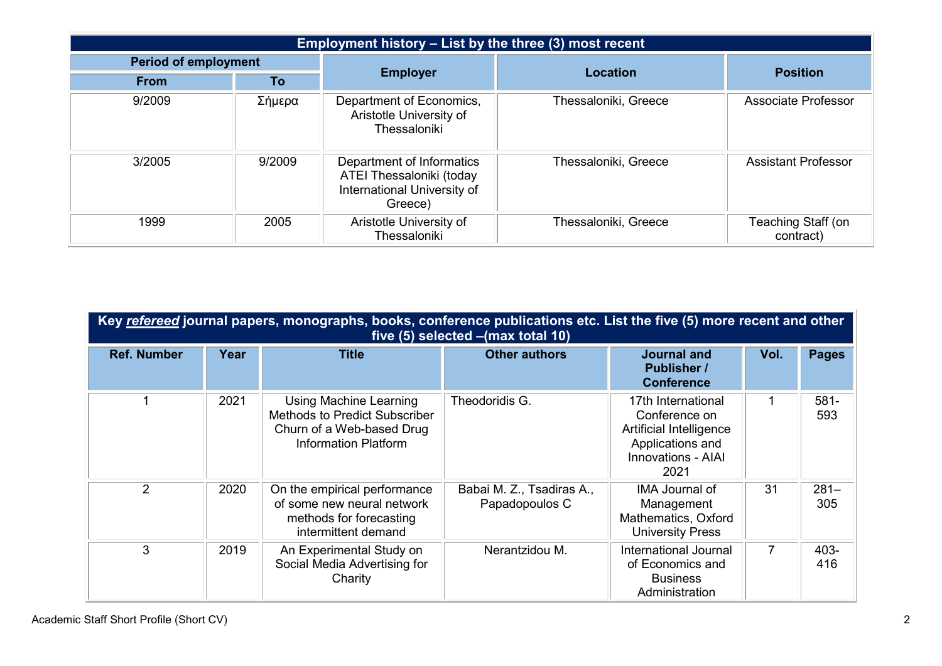| Employment history - List by the three (3) most recent |        |                                                                                                 |                      |                                 |
|--------------------------------------------------------|--------|-------------------------------------------------------------------------------------------------|----------------------|---------------------------------|
| <b>Period of employment</b>                            |        |                                                                                                 | Location             |                                 |
| <b>From</b>                                            | To     | <b>Employer</b>                                                                                 |                      | <b>Position</b>                 |
| 9/2009                                                 | Σήμερα | Department of Economics,<br>Aristotle University of<br>Thessaloniki                             | Thessaloniki, Greece | Associate Professor             |
| 3/2005                                                 | 9/2009 | Department of Informatics<br>ATEI Thessaloniki (today<br>International University of<br>Greece) | Thessaloniki, Greece | <b>Assistant Professor</b>      |
| 1999                                                   | 2005   | Aristotle University of<br>Thessaloniki                                                         | Thessaloniki, Greece | Teaching Staff (on<br>contract) |

| Key refereed journal papers, monographs, books, conference publications etc. List the five (5) more recent and other<br>five (5) selected - (max total 10) |      |                                                                                                                            |                                             |                                                                                                                         |      |                |
|------------------------------------------------------------------------------------------------------------------------------------------------------------|------|----------------------------------------------------------------------------------------------------------------------------|---------------------------------------------|-------------------------------------------------------------------------------------------------------------------------|------|----------------|
| <b>Ref. Number</b>                                                                                                                                         | Year | <b>Title</b>                                                                                                               | <b>Other authors</b>                        | <b>Journal and</b><br><b>Publisher /</b><br><b>Conference</b>                                                           | Vol. | <b>Pages</b>   |
|                                                                                                                                                            | 2021 | Using Machine Learning<br><b>Methods to Predict Subscriber</b><br>Churn of a Web-based Drug<br><b>Information Platform</b> | Theodoridis G.                              | 17th International<br>Conference on<br>Artificial Intelligence<br>Applications and<br><b>Innovations - AIAI</b><br>2021 |      | $581 -$<br>593 |
| $\overline{2}$                                                                                                                                             | 2020 | On the empirical performance<br>of some new neural network<br>methods for forecasting<br>intermittent demand               | Babai M. Z., Tsadiras A.,<br>Papadopoulos C | <b>IMA Journal of</b><br>Management<br>Mathematics, Oxford<br><b>University Press</b>                                   | 31   | $281 -$<br>305 |
| 3                                                                                                                                                          | 2019 | An Experimental Study on<br>Social Media Advertising for<br>Charity                                                        | Nerantzidou M.                              | <b>International Journal</b><br>of Economics and<br><b>Business</b><br>Administration                                   | 7    | 403-<br>416    |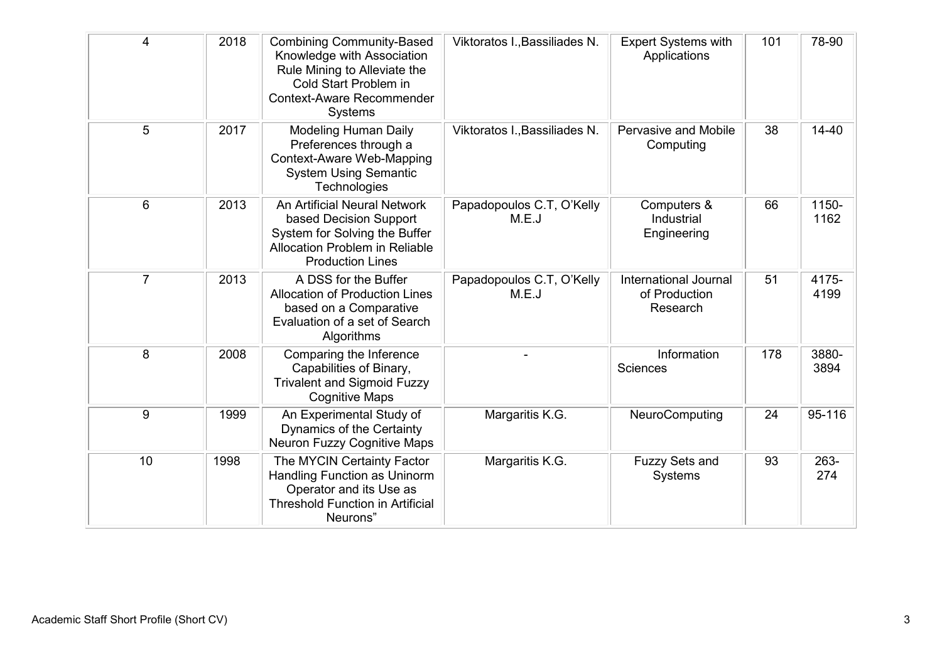| 4              | 2018 | <b>Combining Community-Based</b><br>Knowledge with Association<br>Rule Mining to Alleviate the<br>Cold Start Problem in<br><b>Context-Aware Recommender</b><br><b>Systems</b> | Viktoratos I., Bassiliades N.      | <b>Expert Systems with</b><br>Applications                | 101 | 78-90         |
|----------------|------|-------------------------------------------------------------------------------------------------------------------------------------------------------------------------------|------------------------------------|-----------------------------------------------------------|-----|---------------|
| 5              | 2017 | <b>Modeling Human Daily</b><br>Preferences through a<br><b>Context-Aware Web-Mapping</b><br><b>System Using Semantic</b><br>Technologies                                      | Viktoratos I., Bassiliades N.      | Pervasive and Mobile<br>Computing                         | 38  | $14 - 40$     |
| 6              | 2013 | An Artificial Neural Network<br>based Decision Support<br>System for Solving the Buffer<br>Allocation Problem in Reliable<br><b>Production Lines</b>                          | Papadopoulos C.T, O'Kelly<br>M.E.J | Computers &<br>Industrial<br>Engineering                  | 66  | 1150-<br>1162 |
| $\overline{7}$ | 2013 | A DSS for the Buffer<br><b>Allocation of Production Lines</b><br>based on a Comparative<br>Evaluation of a set of Search<br>Algorithms                                        | Papadopoulos C.T, O'Kelly<br>M.E.J | <b>International Journal</b><br>of Production<br>Research | 51  | 4175-<br>4199 |
| 8              | 2008 | Comparing the Inference<br>Capabilities of Binary,<br><b>Trivalent and Sigmoid Fuzzy</b><br><b>Cognitive Maps</b>                                                             |                                    | Information<br><b>Sciences</b>                            | 178 | 3880-<br>3894 |
| 9              | 1999 | An Experimental Study of<br>Dynamics of the Certainty<br>Neuron Fuzzy Cognitive Maps                                                                                          | Margaritis K.G.                    | NeuroComputing                                            | 24  | 95-116        |
| 10             | 1998 | The MYCIN Certainty Factor<br><b>Handling Function as Uninorm</b><br>Operator and its Use as<br><b>Threshold Function in Artificial</b><br>Neurons"                           | Margaritis K.G.                    | <b>Fuzzy Sets and</b><br>Systems                          | 93  | 263-<br>274   |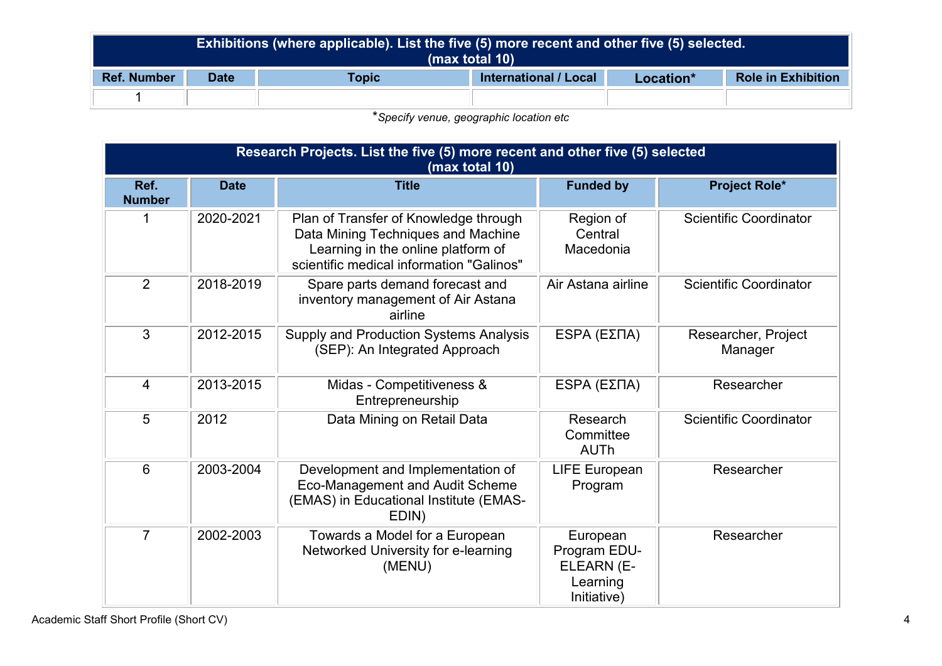| <b>Exhibitions (where applicable). List the five (5) more recent and other five (5) selected.</b><br>(max total 10) |             |       |                              |           |                           |
|---------------------------------------------------------------------------------------------------------------------|-------------|-------|------------------------------|-----------|---------------------------|
| <b>Ref. Number</b>                                                                                                  | <b>Date</b> | Topic | <b>International / Local</b> | Location* | <b>Role in Exhibition</b> |
|                                                                                                                     |             |       |                              |           |                           |

\**Specify venue, geographic location etc*

|                       | Research Projects. List the five (5) more recent and other five (5) selected<br>(max total 10) |                                                                                                                                                               |                                                                   |                                |  |  |  |
|-----------------------|------------------------------------------------------------------------------------------------|---------------------------------------------------------------------------------------------------------------------------------------------------------------|-------------------------------------------------------------------|--------------------------------|--|--|--|
| Ref.<br><b>Number</b> | <b>Date</b>                                                                                    | <b>Title</b>                                                                                                                                                  | <b>Funded by</b>                                                  | <b>Project Role*</b>           |  |  |  |
| 1                     | 2020-2021                                                                                      | Plan of Transfer of Knowledge through<br>Data Mining Techniques and Machine<br>Learning in the online platform of<br>scientific medical information "Galinos" | Region of<br>Central<br>Macedonia                                 | <b>Scientific Coordinator</b>  |  |  |  |
| 2                     | 2018-2019                                                                                      | Spare parts demand forecast and<br>inventory management of Air Astana<br>airline                                                                              | Air Astana airline                                                | <b>Scientific Coordinator</b>  |  |  |  |
| 3                     | 2012-2015                                                                                      | <b>Supply and Production Systems Analysis</b><br>(SEP): An Integrated Approach                                                                                | ESPA (ΕΣΠΑ)                                                       | Researcher, Project<br>Manager |  |  |  |
| $\overline{4}$        | 2013-2015                                                                                      | Midas - Competitiveness &<br>Entrepreneurship                                                                                                                 | ESPA (ΕΣΠΑ)                                                       | Researcher                     |  |  |  |
| 5                     | 2012                                                                                           | Data Mining on Retail Data                                                                                                                                    | Research<br>Committee<br><b>AUTh</b>                              | <b>Scientific Coordinator</b>  |  |  |  |
| $6\phantom{1}$        | 2003-2004                                                                                      | Development and Implementation of<br>Eco-Management and Audit Scheme<br>(EMAS) in Educational Institute (EMAS-<br>EDIN)                                       | <b>LIFE European</b><br>Program                                   | Researcher                     |  |  |  |
| $\overline{7}$        | 2002-2003                                                                                      | Towards a Model for a European<br>Networked University for e-learning<br>(MENU)                                                                               | European<br>Program EDU-<br>ELEARN (E-<br>Learning<br>Initiative) | Researcher                     |  |  |  |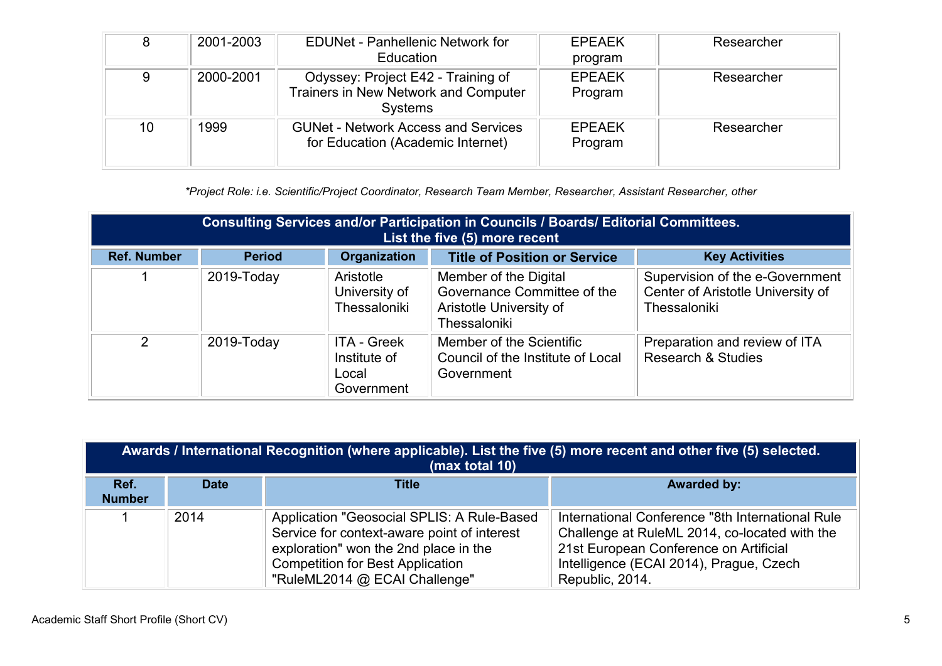| 8  | 2001-2003 | <b>EDUNet - Panhellenic Network for</b><br>Education                                  | <b>EPEAEK</b><br>program | Researcher |
|----|-----------|---------------------------------------------------------------------------------------|--------------------------|------------|
| 9  | 2000-2001 | Odyssey: Project E42 - Training of<br>Trainers in New Network and Computer<br>Systems | <b>EPEAEK</b><br>Program | Researcher |
| 10 | 1999      | <b>GUNet - Network Access and Services</b><br>for Education (Academic Internet)       | <b>EPEAEK</b><br>Program | Researcher |

*\*Project Role: i.e. Scientific/Project Coordinator, Research Team Member, Researcher, Assistant Researcher, other*

| Consulting Services and/or Participation in Councils / Boards/ Editorial Committees.<br>List the five (5) more recent |               |                                                           |                                                                                                 |                                                                                      |
|-----------------------------------------------------------------------------------------------------------------------|---------------|-----------------------------------------------------------|-------------------------------------------------------------------------------------------------|--------------------------------------------------------------------------------------|
| <b>Ref. Number</b>                                                                                                    | <b>Period</b> | Organization                                              | <b>Title of Position or Service</b>                                                             | <b>Key Activities</b>                                                                |
|                                                                                                                       | 2019-Today    | Aristotle<br>University of<br>Thessaloniki                | Member of the Digital<br>Governance Committee of the<br>Aristotle University of<br>Thessaloniki | Supervision of the e-Government<br>Center of Aristotle University of<br>Thessaloniki |
| 2                                                                                                                     | 2019-Today    | <b>ITA - Greek</b><br>Institute of<br>Local<br>Government | Member of the Scientific<br>Council of the Institute of Local<br>Government                     | Preparation and review of ITA<br><b>Research &amp; Studies</b>                       |

|                       | Awards / International Recognition (where applicable). List the five (5) more recent and other five (5) selected.<br>(max total 10) |                                                                                                                                                                                                                |                                                                                                                                                                                                           |  |  |  |
|-----------------------|-------------------------------------------------------------------------------------------------------------------------------------|----------------------------------------------------------------------------------------------------------------------------------------------------------------------------------------------------------------|-----------------------------------------------------------------------------------------------------------------------------------------------------------------------------------------------------------|--|--|--|
| Ref.<br><b>Number</b> | <b>Date</b>                                                                                                                         | Title                                                                                                                                                                                                          | <b>Awarded by:</b>                                                                                                                                                                                        |  |  |  |
|                       | 2014                                                                                                                                | Application "Geosocial SPLIS: A Rule-Based<br>Service for context-aware point of interest<br>exploration" won the 2nd place in the<br><b>Competition for Best Application</b><br>"RuleML2014 @ ECAI Challenge" | International Conference "8th International Rule<br>Challenge at RuleML 2014, co-located with the<br>21st European Conference on Artificial<br>Intelligence (ECAI 2014), Prague, Czech<br>Republic, 2014. |  |  |  |